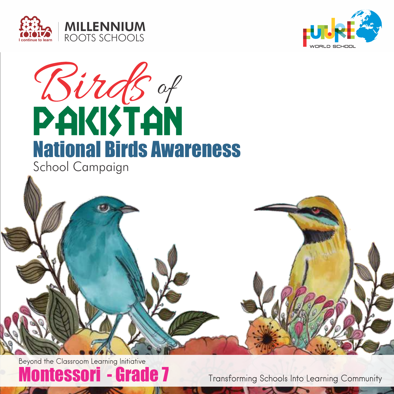





School Campaign

Montessori - Grade 7 Beyond the Classroom Learning Initiative

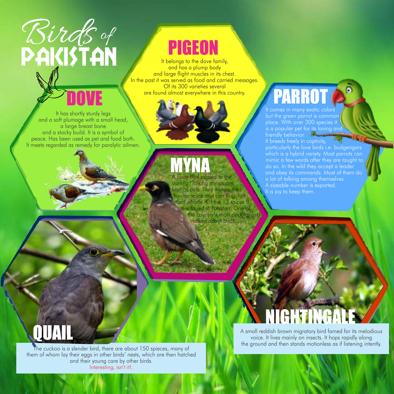# Birds of

### PIGEON

It belongs to the dove family, and has a plump body and large flight muscles in its chest. In the past it was served as food and carried messages. Of its 300 varieties several are found almost everywhere in this country.

It has shortly sturdy legs and a soft plumage with a small head, a large breast bone and a stocky build. It is a symbol of peace. Has been used as pet and food both. It meets regarded as remedy for paralytic ailmen.

### It comes in many exotic colors **PARROT**

but the green parrot is common place. With over 300 species it friendly behavior. particularly the love birds i.e. budgerigars mimic a few words after they are taught to do so. In the wild they accept a leader and obey its commands. Most of them do a lot of talking among themselves. A sizeable number is exported. It is joy to keep them.

#### MYNA A noisy bird related to the

starling. Talking mynas are kept as pets. They imitate the human voice and can sing, talk and whistle. Of the 12 spices 8 are found in Pakistan. One of the country's most popular and talked about birds.



The cuckoo is a slender bird, there are about 150 spieces, many of them of whom lay their eggs in other birds' nests, which are then hatched and their young care by other birds. Interesting, isn't it!.

### NIGHTINGALI

A small reddish brown migratory bird famed for its melodious voice. It lives mainly on insects. It hops rapidly along the ground and then stands motionless as if listening intently.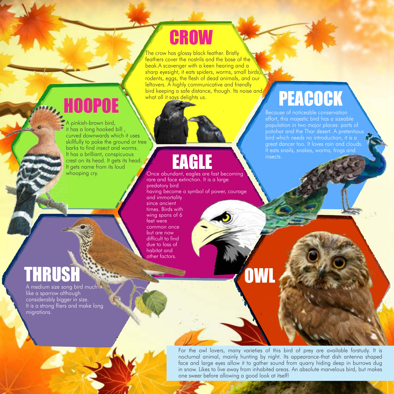### **CROW**

The crow has glossy black feather. Bristly feathers cover the nostrils and the base of the beak.A scavenger with a keen hearing and a sharp eyesight, it eats spiders, worms, small birds, rodents, eggs, the flesh of dead animals, and our leftovers. A highly communicative and friendly bird keeping a safe distance, though. Its noise and what all it says delights us. **HOOPOE** Side distance, though. Its noise and **PEACOCK** 

A pinkish-brown bird, it has a long hooked bill , curved downwards which it uses skillfully to poke the ground or tree barks to find insect and worms. It has a brilliant, conspicuous crest on its head. It gets its head. It gets name from its loud whooping cry.

### EAGLE

Once abundant, eagles are fast becoming rare and face extinction. It is a large predatory bird having become a symbol of power, courage and immortality since ancient times. Birds with wing spans of 6 feet were common once but are now difficult to find due to loss of habitat and other factors.

### THRUS

A medium size song bird much like a sparrow although considerably bigger in size. It is a strong fliers and make long migrations.

#### For the owl lovers, many varieties of this bird of prey are available forstudy. It is nocturnal animal, mainly hunting by night. Its appearance-that dish antenna shaped face and large eyes allow it to gather sound from quarry hiding deep in burrows dug in snow. Likes to live away from inhabited areas. An absolute marvelous bird, but makes one sweer before allowing a good look at itself!

Because of noticeable conservation effort, this majestic bird has a sizeable population in two major places: parts of bird which needs no introduction, it is a great dancer too. It loves rain and clouds.

insects.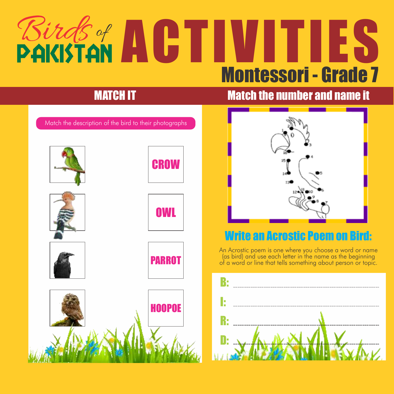## **Birds of ACTIVITI** Montessori - Grade 7

### **MATCH IT MATCH IT Match the number and name it**

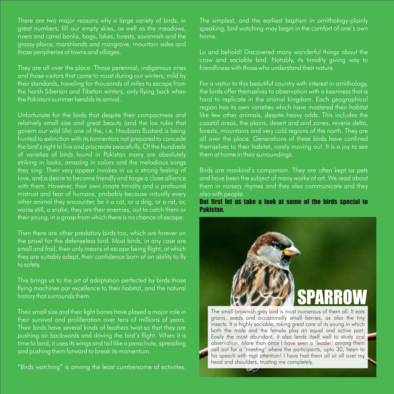There are two major reasons why a large variety of birds, in great numbers, fill our empty skies, as well as the meadows, rivers and canal banks, bogs, lakes, forests, savannah and the grassy plains; marshlands and mangrove, mountain sides and those peripheries of towns and villages.

They are all over the place. Those perennial, indigenous ones and those visitors that come to roost during our winters, mild by their standards, traveling for thousands of miles to escape from the harsh Siberian and Tibetan winters, only flying back when the Pakistani summer heralds its arrival.

Unfortunate for the birds that despite their compactness and relatively small size and great beauty (and the lax rules that govern our wild life) one of the, i.e. Houbara Bustard is being hunted to extinction with its tormentors not prepared to concede the bird's right to live and procreate peacefully. Of the hundreds of varieties of birds found in Pakistan many are absolutely striking in looks, amazing in colors and the melodious songs they sing. Their very appear invokes in us a strong feeling of love, and a desire to become friendly and forge a close alliance with them. However, their own innate timidity and a profound mistrust and fear of humans, probably because virtually every other animal they encounter, be it a cat, or a dog, or a rat, or, worse still, a snake, they are their enemies, out to catch them or their young, in a grasp from which there is no chance of escape.

Then there are other predatory birds too, which are forever on the prowl for the defenseless bird. Most birds, in any case are, small and frail, their only means of escape being flight, at which they are suitably adept, their confidence born of an ability to fly to safety.

This brings us to the art of adaptation perfected by birds those flying machines par excellence to their habitat, and the natural history that surrounds them.

Their small size and their light bones have played a major role in their survival and proliferation over tens of millions of years. Their birds have several kinds of feathers twist so that they are pushing air backwards and driving the bird's flight. When it is time to land, it uses its wings and tail like a parachute, spreading and pushing them forward to break its momentum.

"Birds watching" is among the least cumbersome of activities.

The simplest, and the earliest baptism in ornithology-plainly speaking, bird watching-may begin in the comfort of one's own home.

Lo and behold! Discovered many wonderful things about the crow and sociable bird. Notably, its timidity giving way to friendliness with those who understand their nature.

For a visitor to this beautiful country with interest in ornithology, the birds offer themselves to observation with a keenness that is hard to replicate in the animal kingdom. Each geographical region has its own varieties which have mastered their habitat like few other animals, despite heavy odds. This includes the coastal areas, the plains, desert and aird zones, reverie delta, forests, mountains and very cold regions of the north. They are all over the place. Generations of these birds have confined themselves to their habitat, rarely moving out. It is a joy to see them at home in their surroundings.

Birds are mankind's companion. They are often kept as pets and have been the subject of many works of art. We read about them in nursery rhymes and they also communicate and they also with people.

But first let us take a look at some of the birds special to Pakistan.